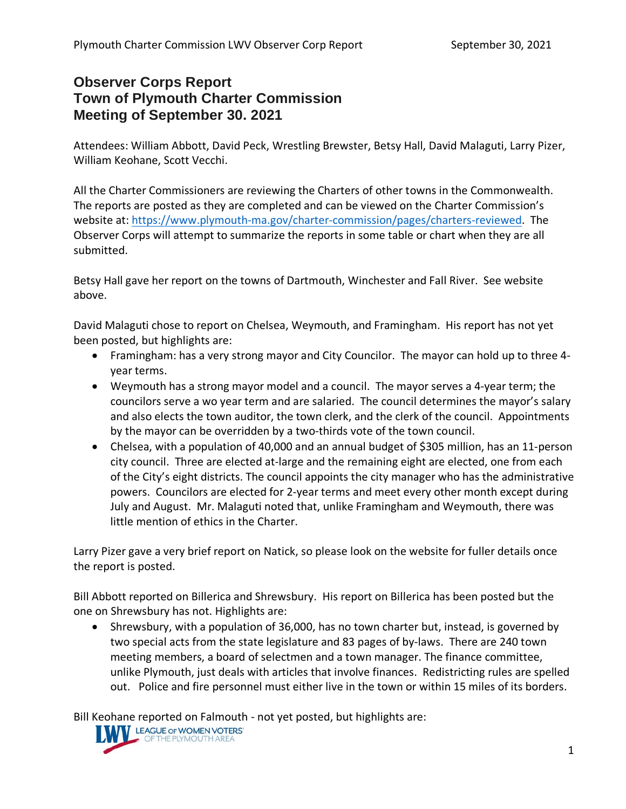## **Observer Corps Report Town of Plymouth Charter Commission Meeting of September 30. 2021**

Attendees: William Abbott, David Peck, Wrestling Brewster, Betsy Hall, David Malaguti, Larry Pizer, William Keohane, Scott Vecchi.

All the Charter Commissioners are reviewing the Charters of other towns in the Commonwealth. The reports are posted as they are completed and can be viewed on the Charter Commission's website at[: https://www.plymouth-ma.gov/charter-commission/pages/charters-reviewed.](https://www.plymouth-ma.gov/charter-commission/pages/charters-reviewed) The Observer Corps will attempt to summarize the reports in some table or chart when they are all submitted.

Betsy Hall gave her report on the towns of Dartmouth, Winchester and Fall River. See website above.

David Malaguti chose to report on Chelsea, Weymouth, and Framingham. His report has not yet been posted, but highlights are:

- Framingham: has a very strong mayor and City Councilor. The mayor can hold up to three 4 year terms.
- Weymouth has a strong mayor model and a council. The mayor serves a 4-year term; the councilors serve a wo year term and are salaried. The council determines the mayor's salary and also elects the town auditor, the town clerk, and the clerk of the council. Appointments by the mayor can be overridden by a two-thirds vote of the town council.
- Chelsea, with a population of 40,000 and an annual budget of \$305 million, has an 11-person city council. Three are elected at-large and the remaining eight are elected, one from each of the City's eight districts. The council appoints the city manager who has the administrative powers. Councilors are elected for 2-year terms and meet every other month except during July and August. Mr. Malaguti noted that, unlike Framingham and Weymouth, there was little mention of ethics in the Charter.

Larry Pizer gave a very brief report on Natick, so please look on the website for fuller details once the report is posted.

Bill Abbott reported on Billerica and Shrewsbury. His report on Billerica has been posted but the one on Shrewsbury has not. Highlights are:

• Shrewsbury, with a population of 36,000, has no town charter but, instead, is governed by two special acts from the state legislature and 83 pages of by-laws. There are 240 town meeting members, a board of selectmen and a town manager. The finance committee, unlike Plymouth, just deals with articles that involve finances. Redistricting rules are spelled out. Police and fire personnel must either live in the town or within 15 miles of its borders.

Bill Keohane reported on Falmouth - not yet posted, but highlights are:

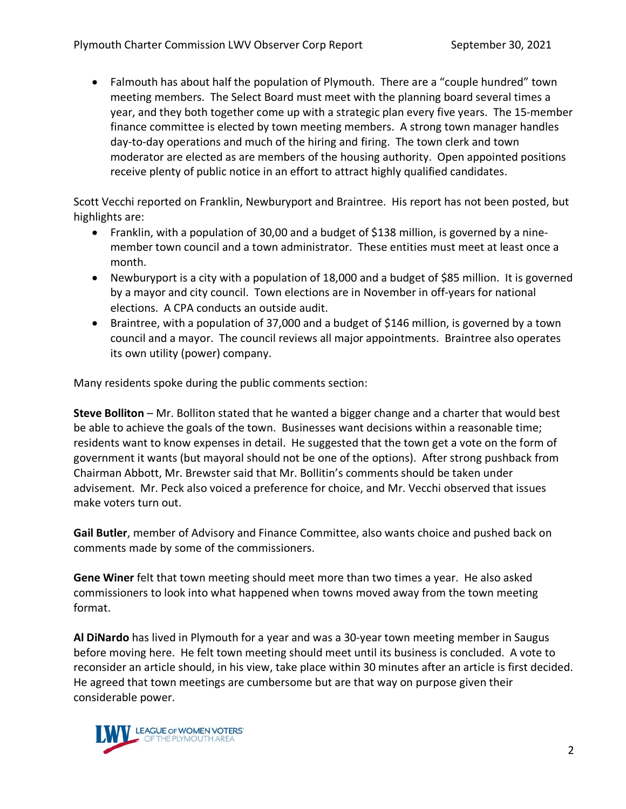• Falmouth has about half the population of Plymouth. There are a "couple hundred" town meeting members. The Select Board must meet with the planning board several times a year, and they both together come up with a strategic plan every five years. The 15-member finance committee is elected by town meeting members. A strong town manager handles day-to-day operations and much of the hiring and firing. The town clerk and town moderator are elected as are members of the housing authority. Open appointed positions receive plenty of public notice in an effort to attract highly qualified candidates.

Scott Vecchi reported on Franklin, Newburyport and Braintree. His report has not been posted, but highlights are:

- Franklin, with a population of 30,00 and a budget of \$138 million, is governed by a ninemember town council and a town administrator. These entities must meet at least once a month.
- Newburyport is a city with a population of 18,000 and a budget of \$85 million. It is governed by a mayor and city council. Town elections are in November in off-years for national elections. A CPA conducts an outside audit.
- Braintree, with a population of 37,000 and a budget of \$146 million, is governed by a town council and a mayor. The council reviews all major appointments. Braintree also operates its own utility (power) company.

Many residents spoke during the public comments section:

**Steve Bolliton** – Mr. Bolliton stated that he wanted a bigger change and a charter that would best be able to achieve the goals of the town. Businesses want decisions within a reasonable time; residents want to know expenses in detail. He suggested that the town get a vote on the form of government it wants (but mayoral should not be one of the options). After strong pushback from Chairman Abbott, Mr. Brewster said that Mr. Bollitin's comments should be taken under advisement. Mr. Peck also voiced a preference for choice, and Mr. Vecchi observed that issues make voters turn out.

**Gail Butler**, member of Advisory and Finance Committee, also wants choice and pushed back on comments made by some of the commissioners.

**Gene Winer** felt that town meeting should meet more than two times a year. He also asked commissioners to look into what happened when towns moved away from the town meeting format.

**Al DiNardo** has lived in Plymouth for a year and was a 30-year town meeting member in Saugus before moving here. He felt town meeting should meet until its business is concluded. A vote to reconsider an article should, in his view, take place within 30 minutes after an article is first decided. He agreed that town meetings are cumbersome but are that way on purpose given their considerable power.